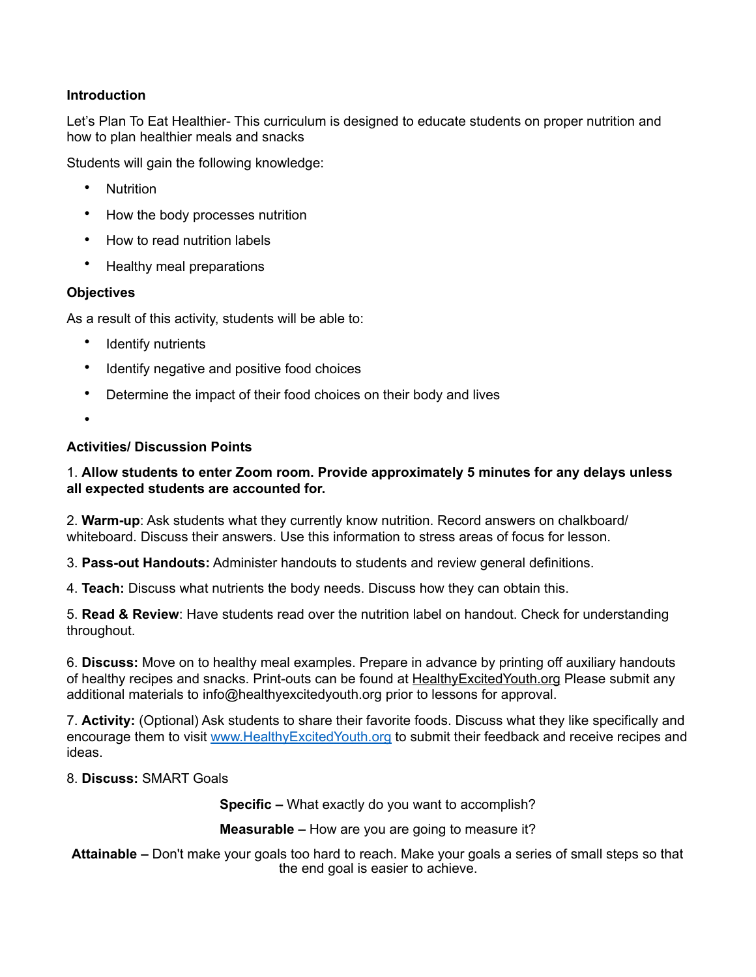# **Introduction**

Let's Plan To Eat Healthier- This curriculum is designed to educate students on proper nutrition and how to plan healthier meals and snacks

Students will gain the following knowledge:

- Nutrition
- How the body processes nutrition
- How to read nutrition labels
- Healthy meal preparations

## **Objectives**

As a result of this activity, students will be able to:

- Identify nutrients
- Identify negative and positive food choices
- Determine the impact of their food choices on their body and lives
- •

#### **Activities/ Discussion Points**

## 1. **Allow students to enter Zoom room. Provide approximately 5 minutes for any delays unless all expected students are accounted for.**

2. **Warm-up**: Ask students what they currently know nutrition. Record answers on chalkboard/ whiteboard. Discuss their answers. Use this information to stress areas of focus for lesson.

3. **Pass-out Handouts:** Administer handouts to students and review general definitions.

4. **Teach:** Discuss what nutrients the body needs. Discuss how they can obtain this.

5. **Read & Review**: Have students read over the nutrition label on handout. Check for understanding throughout.

6. **Discuss:** Move on to healthy meal examples. Prepare in advance by printing off auxiliary handouts of healthy recipes and snacks. Print-outs can be found at [HealthyExcitedYouth.org](http://healthyexcitedyouth.org) Please submit any additional materials to info@healthyexcitedyouth.org prior to lessons for approval.

7. **Activity:** (Optional) Ask students to share their favorite foods. Discuss what they like specifically and encourage them to visit [www.HealthyExcitedYouth.org](http://www.HealthyExcitedYouth.org) to submit their feedback and receive recipes and ideas.

## 8. **Discuss:** SMART Goals

**Specific –** What exactly do you want to accomplish?

**Measurable –** How are you are going to measure it?

**Attainable –** Don't make your goals too hard to reach. Make your goals a series of small steps so that the end goal is easier to achieve.